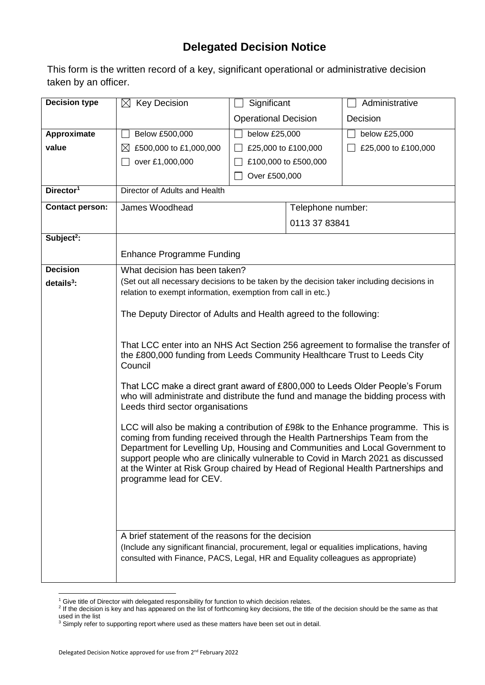## **Delegated Decision Notice**

This form is the written record of a key, significant operational or administrative decision taken by an officer.

| <b>Decision type</b>   | $\boxtimes$ Key Decision                                                                                                                                                 | Significant                                                                                                                                                                                                                                                                                                                                                                                                           |                   | Administrative      |  |  |
|------------------------|--------------------------------------------------------------------------------------------------------------------------------------------------------------------------|-----------------------------------------------------------------------------------------------------------------------------------------------------------------------------------------------------------------------------------------------------------------------------------------------------------------------------------------------------------------------------------------------------------------------|-------------------|---------------------|--|--|
|                        |                                                                                                                                                                          | <b>Operational Decision</b>                                                                                                                                                                                                                                                                                                                                                                                           |                   | Decision            |  |  |
| Approximate            | Below £500,000                                                                                                                                                           | below £25,000                                                                                                                                                                                                                                                                                                                                                                                                         |                   | below £25,000       |  |  |
| value                  | $\boxtimes$ £500,000 to £1,000,000                                                                                                                                       | £25,000 to £100,000                                                                                                                                                                                                                                                                                                                                                                                                   |                   | £25,000 to £100,000 |  |  |
|                        | over £1,000,000                                                                                                                                                          | £100,000 to £500,000                                                                                                                                                                                                                                                                                                                                                                                                  |                   |                     |  |  |
|                        |                                                                                                                                                                          | Over £500,000                                                                                                                                                                                                                                                                                                                                                                                                         |                   |                     |  |  |
| Director <sup>1</sup>  | Director of Adults and Health                                                                                                                                            |                                                                                                                                                                                                                                                                                                                                                                                                                       |                   |                     |  |  |
| <b>Contact person:</b> | James Woodhead                                                                                                                                                           |                                                                                                                                                                                                                                                                                                                                                                                                                       | Telephone number: |                     |  |  |
|                        |                                                                                                                                                                          | 0113 37 83841                                                                                                                                                                                                                                                                                                                                                                                                         |                   |                     |  |  |
| Subject <sup>2</sup> : |                                                                                                                                                                          |                                                                                                                                                                                                                                                                                                                                                                                                                       |                   |                     |  |  |
|                        | <b>Enhance Programme Funding</b>                                                                                                                                         |                                                                                                                                                                                                                                                                                                                                                                                                                       |                   |                     |  |  |
| <b>Decision</b>        | What decision has been taken?                                                                                                                                            |                                                                                                                                                                                                                                                                                                                                                                                                                       |                   |                     |  |  |
| details $3$ :          | (Set out all necessary decisions to be taken by the decision taker including decisions in                                                                                |                                                                                                                                                                                                                                                                                                                                                                                                                       |                   |                     |  |  |
|                        | relation to exempt information, exemption from call in etc.)                                                                                                             |                                                                                                                                                                                                                                                                                                                                                                                                                       |                   |                     |  |  |
|                        | The Deputy Director of Adults and Health agreed to the following:                                                                                                        |                                                                                                                                                                                                                                                                                                                                                                                                                       |                   |                     |  |  |
|                        |                                                                                                                                                                          |                                                                                                                                                                                                                                                                                                                                                                                                                       |                   |                     |  |  |
|                        | That LCC enter into an NHS Act Section 256 agreement to formalise the transfer of<br>the £800,000 funding from Leeds Community Healthcare Trust to Leeds City<br>Council |                                                                                                                                                                                                                                                                                                                                                                                                                       |                   |                     |  |  |
|                        | Leeds third sector organisations                                                                                                                                         | That LCC make a direct grant award of £800,000 to Leeds Older People's Forum<br>who will administrate and distribute the fund and manage the bidding process with                                                                                                                                                                                                                                                     |                   |                     |  |  |
|                        | programme lead for CEV.                                                                                                                                                  | LCC will also be making a contribution of £98k to the Enhance programme. This is<br>coming from funding received through the Health Partnerships Team from the<br>Department for Levelling Up, Housing and Communities and Local Government to<br>support people who are clinically vulnerable to Covid in March 2021 as discussed<br>at the Winter at Risk Group chaired by Head of Regional Health Partnerships and |                   |                     |  |  |
|                        | A brief statement of the reasons for the decision<br>(Include any significant financial, procurement, legal or equalities implications, having                           |                                                                                                                                                                                                                                                                                                                                                                                                                       |                   |                     |  |  |
|                        |                                                                                                                                                                          | consulted with Finance, PACS, Legal, HR and Equality colleagues as appropriate)                                                                                                                                                                                                                                                                                                                                       |                   |                     |  |  |

1

<sup>&</sup>lt;sup>1</sup> Give title of Director with delegated responsibility for function to which decision relates.<br><sup>2</sup> If the decision is key and has appeared on the list of forthcoming key decisions, the title of the decision should be the used in the list

 $3$  Simply refer to supporting report where used as these matters have been set out in detail.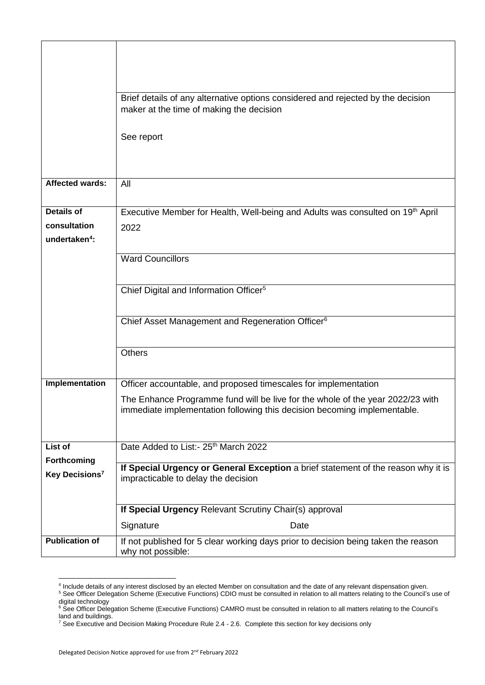|                                           | Brief details of any alternative options considered and rejected by the decision<br>maker at the time of making the decision                      |  |  |  |  |  |
|-------------------------------------------|---------------------------------------------------------------------------------------------------------------------------------------------------|--|--|--|--|--|
|                                           |                                                                                                                                                   |  |  |  |  |  |
|                                           | See report                                                                                                                                        |  |  |  |  |  |
|                                           |                                                                                                                                                   |  |  |  |  |  |
| <b>Affected wards:</b>                    | All                                                                                                                                               |  |  |  |  |  |
|                                           |                                                                                                                                                   |  |  |  |  |  |
| <b>Details of</b>                         | Executive Member for Health, Well-being and Adults was consulted on 19th April                                                                    |  |  |  |  |  |
| consultation<br>undertaken <sup>4</sup> : | 2022                                                                                                                                              |  |  |  |  |  |
|                                           |                                                                                                                                                   |  |  |  |  |  |
|                                           | <b>Ward Councillors</b>                                                                                                                           |  |  |  |  |  |
|                                           | Chief Digital and Information Officer <sup>5</sup>                                                                                                |  |  |  |  |  |
|                                           |                                                                                                                                                   |  |  |  |  |  |
|                                           | Chief Asset Management and Regeneration Officer <sup>6</sup>                                                                                      |  |  |  |  |  |
|                                           |                                                                                                                                                   |  |  |  |  |  |
|                                           | <b>Others</b>                                                                                                                                     |  |  |  |  |  |
| Implementation                            |                                                                                                                                                   |  |  |  |  |  |
|                                           | Officer accountable, and proposed timescales for implementation<br>The Enhance Programme fund will be live for the whole of the year 2022/23 with |  |  |  |  |  |
|                                           | immediate implementation following this decision becoming implementable.                                                                          |  |  |  |  |  |
|                                           |                                                                                                                                                   |  |  |  |  |  |
| List of                                   | Date Added to List:- 25 <sup>th</sup> March 2022                                                                                                  |  |  |  |  |  |
| Forthcoming                               | If Special Urgency or General Exception a brief statement of the reason why it is                                                                 |  |  |  |  |  |
| Key Decisions <sup>7</sup>                | impracticable to delay the decision                                                                                                               |  |  |  |  |  |
|                                           |                                                                                                                                                   |  |  |  |  |  |
|                                           | If Special Urgency Relevant Scrutiny Chair(s) approval                                                                                            |  |  |  |  |  |
|                                           | Signature<br>Date                                                                                                                                 |  |  |  |  |  |
| <b>Publication of</b>                     | If not published for 5 clear working days prior to decision being taken the reason<br>why not possible:                                           |  |  |  |  |  |
|                                           |                                                                                                                                                   |  |  |  |  |  |

 4 Include details of any interest disclosed by an elected Member on consultation and the date of any relevant dispensation given. <sup>5</sup> See Officer Delegation Scheme (Executive Functions) CDIO must be consulted in relation to all matters relating to the Council's use of digital technology

<sup>&</sup>lt;sup>6</sup> See Officer Delegation Scheme (Executive Functions) CAMRO must be consulted in relation to all matters relating to the Council's land and buildings.

<sup>&</sup>lt;sup>7</sup> See Executive and Decision Making Procedure Rule 2.4 - 2.6. Complete this section for key decisions only